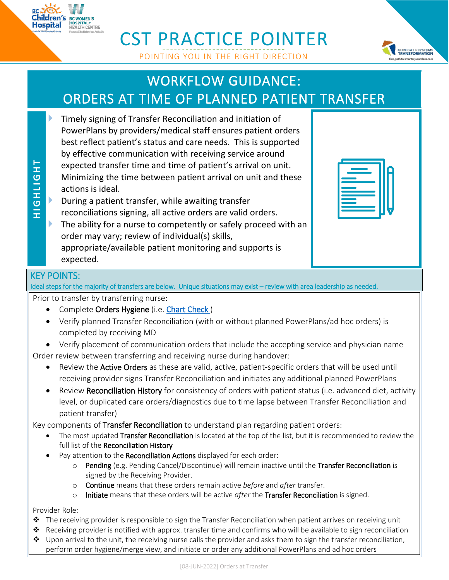## CST PRACTICE POINTER POINTING YOU IN THE RIGHT DIRECTION

## WORKFLOW GUIDANCE: ORDERS AT TIME OF PLANNED PATIENT TRANSFER

- Timely signing of Transfer Reconciliation and initiation of PowerPlans by providers/medical staff ensures patient orders best reflect patient's status and care needs. This is supported by effective communication with receiving service around expected transfer time and time of patient's arrival on unit. Minimizing the time between patient arrival on unit and these actions is ideal.
- During a patient transfer, while awaiting transfer reconciliations signing, all active orders are valid orders.
- The ability for a nurse to competently or safely proceed with an order may vary; review of individual(s) skills, appropriate/available patient monitoring and supports is expected.

## KEY POINTS:

**H I G H L I G H T**

**HIGHLIGHT** 

Ideal steps for the majority of transfers are below. Unique situations may exist – review with area leadership as needed.

Prior to transfer by transferring nurse:

- Complete Orders Hygiene (i.e. Chart Check)
- Verify planned Transfer Reconciliation (with or without planned PowerPlans/ad hoc orders) is completed by receiving MD
- Verify placement of communication orders that include the accepting service and physician name

Order review between transferring and receiving nurse during handover:

- Review the Active Orders as these are valid, active, patient-specific orders that will be used until receiving provider signs Transfer Reconciliation and initiates any additional planned PowerPlans
- Review Reconciliation History for consistency of orders with patient status (i.e. advanced diet, activity level, or duplicated care orders/diagnostics due to time lapse between Transfer Reconciliation and patient transfer)

Key components of Transfer Reconciliation to understand plan regarding patient orders:

- The most updated Transfer Reconciliation is located at the top of the list, but it is recommended to review the full list of the Reconciliation History
- Pay attention to the Reconciliation Actions displayed for each order:
	- o Pending (e.g. Pending Cancel/Discontinue) will remain inactive until the Transfer Reconciliation is signed by the Receiving Provider.
	- o Continue means that these orders remain active *before* and *after* transfer.
	- o Initiate means that these orders will be active *after* the Transfer Reconciliation is signed.

Provider Role:

- $\triangle$  The receiving provider is responsible to sign the Transfer Reconciliation when patient arrives on receiving unit
- Receiving provider is notified with approx. transfer time and confirms who will be available to sign reconciliation
- $\triangle$  Upon arrival to the unit, the receiving nurse calls the provider and asks them to sign the transfer reconciliation, perform order hygiene/merge view, and initiate or order any additional PowerPlans and ad hoc orders